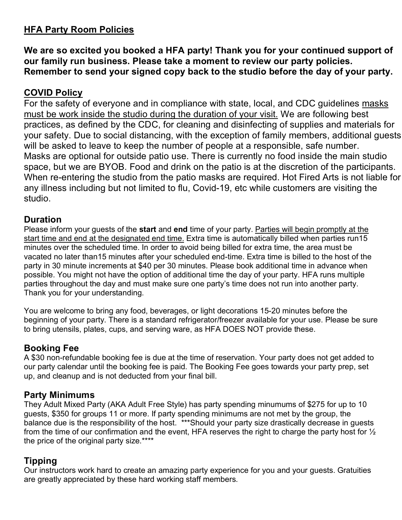## **HFA Party Room Policies**

**We are so excited you booked a HFA party! Thank you for your continued support of our family run business. Please take a moment to review our party policies. Remember to send your signed copy back to the studio before the day of your party.**

## **COVID Policy**

For the safety of everyone and in compliance with state, local, and CDC guidelines masks must be work inside the studio during the duration of your visit. We are following best practices, as defined by the CDC, for cleaning and disinfecting of supplies and materials for your safety. Due to social distancing, with the exception of family members, additional guests will be asked to leave to keep the number of people at a responsible, safe number. Masks are optional for outside patio use. There is currently no food inside the main studio space, but we are BYOB. Food and drink on the patio is at the discretion of the participants. When re-entering the studio from the patio masks are required. Hot Fired Arts is not liable for any illness including but not limited to flu, Covid-19, etc while customers are visiting the studio.

#### **Duration**

Please inform your guests of the **start** and **end** time of your party. Parties will begin promptly at the start time and end at the designated end time. Extra time is automatically billed when parties run15 minutes over the scheduled time. In order to avoid being billed for extra time, the area must be vacated no later than15 minutes after your scheduled end-time. Extra time is billed to the host of the party in 30 minute increments at \$40 per 30 minutes. Please book additional time in advance when possible. You might not have the option of additional time the day of your party. HFA runs multiple parties throughout the day and must make sure one party's time does not run into another party. Thank you for your understanding.

You are welcome to bring any food, beverages, or light decorations 15-20 minutes before the beginning of your party. There is a standard refrigerator/freezer available for your use. Please be sure to bring utensils, plates, cups, and serving ware, as HFA DOES NOT provide these.

## **Booking Fee**

A \$30 non-refundable booking fee is due at the time of reservation. Your party does not get added to our party calendar until the booking fee is paid. The Booking Fee goes towards your party prep, set up, and cleanup and is not deducted from your final bill.

## **Party Minimums**

They Adult Mixed Party (AKA Adult Free Style) has party spending minumums of \$275 for up to 10 guests, \$350 for groups 11 or more. If party spending minimums are not met by the group, the balance due is the responsibility of the host. \*\*\*Should your party size drastically decrease in guests from the time of our confirmation and the event, HFA reserves the right to charge the party host for  $\frac{1}{2}$ the price of the original party size.\*\*\*\*

# **Tipping**

Our instructors work hard to create an amazing party experience for you and your guests. Gratuities are greatly appreciated by these hard working staff members.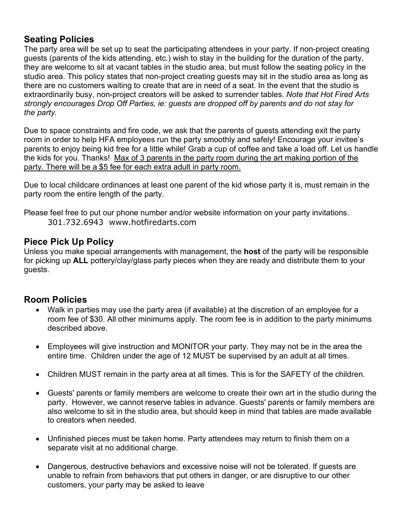## **Seating Policies**

The party area will be set up to seat the participating attendees in your party. If non-project creating guests (parents of the kids attending, etc.) wish to stay in the building for the duration of the party, they are welcome to sit at vacant tables in the studio area, but must follow the seating policy in the studio area. This policy states that non-project creating guests may sit in the studio area as long as there are no customers waiting to create that are in need of a seat. In the event that the studio is extraordinarily busy, non-project creators will be asked to surrender tables. *Note that Hot Fired Arts strongly encourages Drop Off Parties, ie: guests are dropped off by parents and do not stay for the party.*

Due to space constraints and fire code, we ask that the parents of guests attending exit the party room in order to help HFA employees run the party smoothly and safely! Encourage your invitee's parents to enjoy being kid free for a little while! Grab a cup of coffee and take a load off. Let us handle the kids for you. Thanks! Max of 3 parents in the party room during the art making portion of the party. There will be a \$5 fee for each extra adult in party room.

Due to local childcare ordinances at least one parent of the kid whose party it is, must remain in the party room the entire length of the party.

Please feel free to put our phone number and/or website information on your party invitations. 301.732.6943 www.hotfiredarts.com

## **Piece Pick Up Policy**

Unless you make special arrangements with management, the **host** of the party will be responsible for picking up **ALL** pottery/clay/glass party pieces when they are ready and distribute them to your guests.

## **Room Policies**

- Walk in parties may use the party area (if available) at the discretion of an employee for a room fee of \$30. All other minimums apply. The room fee is in addition to the party minimums described above.
- Employees will give instruction and MONITOR your party. They may not be in the area the entire time. Children under the age of 12 MUST be supervised by an adult at all times.
- Children MUST remain in the party area at all times. This is for the SAFETY of the children.
- Guests' parents or family members are welcome to create their own art in the studio during the party. However, we cannot reserve tables in advance. Guests' parents or family members are also welcome to sit in the studio area, but should keep in mind that tables are made available to creators when needed.
- Unfinished pieces must be taken home. Party attendees may return to finish them on a separate visit at no additional charge.
- Dangerous, destructive behaviors and excessive noise will not be tolerated. If quests are unable to refrain from behaviors that put others in danger, or are disruptive to our other customers, your party may be asked to leave